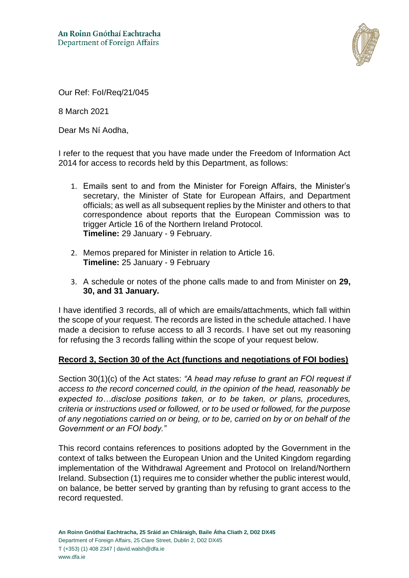

Our Ref: FoI/Req/21/045

8 March 2021

Dear Ms Ní Aodha,

I refer to the request that you have made under the Freedom of Information Act 2014 for access to records held by this Department, as follows:

- 1. Emails sent to and from the Minister for Foreign Affairs, the Minister's secretary, the Minister of State for European Affairs, and Department officials; as well as all subsequent replies by the Minister and others to that correspondence about reports that the European Commission was to trigger Article 16 of the Northern Ireland Protocol. **Timeline:** 29 January - 9 February.
- 2. Memos prepared for Minister in relation to Article 16. **Timeline:** 25 January - 9 February
- 3. A schedule or notes of the phone calls made to and from Minister on **29, 30, and 31 January.**

I have identified 3 records, all of which are emails/attachments, which fall within the scope of your request. The records are listed in the schedule attached. I have made a decision to refuse access to all 3 records. I have set out my reasoning for refusing the 3 records falling within the scope of your request below.

## **Record 3, Section 30 of the Act (functions and negotiations of FOI bodies)**

Section 30(1)(c) of the Act states: *"A head may refuse to grant an FOI request if access to the record concerned could, in the opinion of the head, reasonably be expected to…disclose positions taken, or to be taken, or plans, procedures, criteria or instructions used or followed, or to be used or followed, for the purpose of any negotiations carried on or being, or to be, carried on by or on behalf of the Government or an FOI body."*

This record contains references to positions adopted by the Government in the context of talks between the European Union and the United Kingdom regarding implementation of the Withdrawal Agreement and Protocol on Ireland/Northern Ireland. Subsection (1) requires me to consider whether the public interest would, on balance, be better served by granting than by refusing to grant access to the record requested.